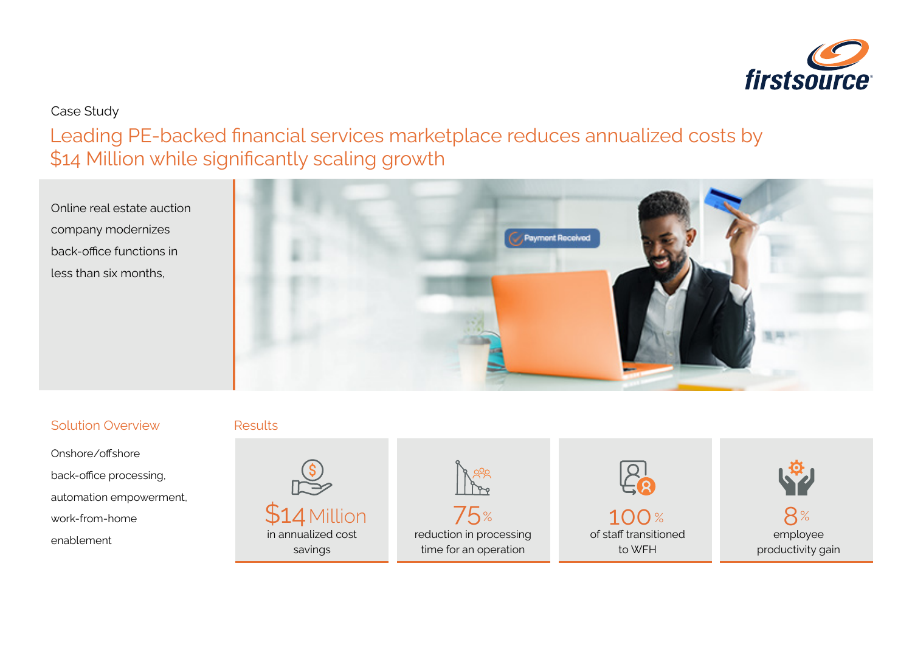

## Case Study

Leading PE-backed financial services marketplace reduces annualized costs by \$14 Million while significantly scaling growth

Online real estate auction company modernizes back-office functions in less than six months,



## Solution Overview

Onshore/offshore back-office processing, automation empowerment, work-from-home

#### Results

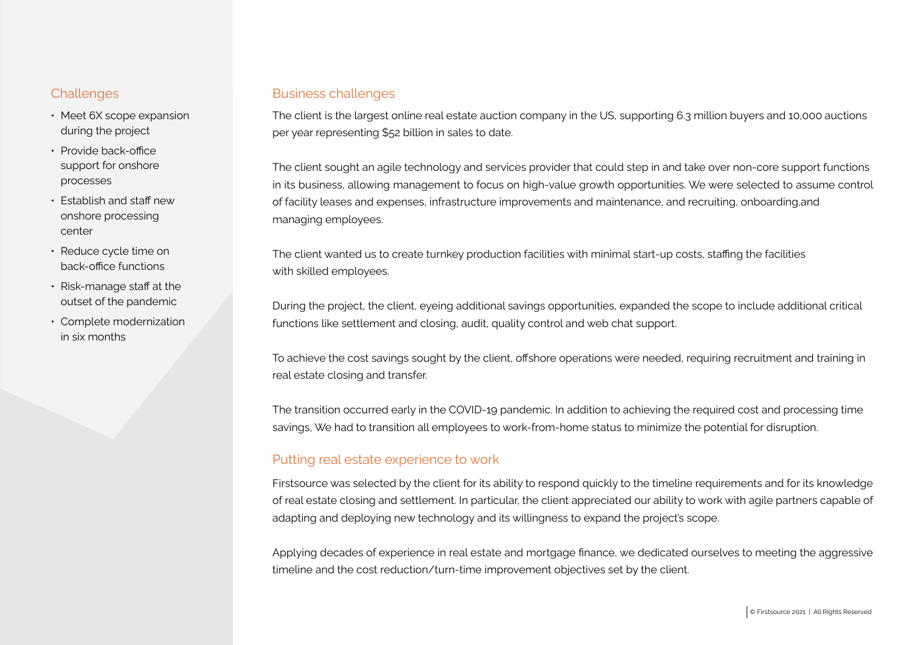- Meet 6X scope expansion during the project
- Provide back-office support for onshore processes
- Establish and staff new onshore processing center
- Reduce cycle time on back-office functions
- Risk-manage staff at the outset of the pandemic
- Complete modernization in six months

#### Challenges **Business challenges**

The client is the largest online real estate auction company in the US, supporting 6.3 million buyers and 10,000 auctions per year representing \$52 billion in sales to date.

The client sought an agile technology and services provider that could step in and take over non-core support functions in its business, allowing management to focus on high-value growth opportunities. We were selected to assume control of facility leases and expenses, infrastructure improvements and maintenance, and recruiting, onboarding,and managing employees.

The client wanted us to create turnkey production facilities with minimal start-up costs, staffing the facilities with skilled employees.

During the project, the client, eyeing additional savings opportunities, expanded the scope to include additional critical functions like settlement and closing, audit, quality control and web chat support.

To achieve the cost savings sought by the client, offshore operations were needed, requiring recruitment and training in real estate closing and transfer.

The transition occurred early in the COVID-19 pandemic. In addition to achieving the required cost and processing time savings, We had to transition all employees to work-from-home status to minimize the potential for disruption.

#### Putting real estate experience to work

Firstsource was selected by the client for its ability to respond quickly to the timeline requirements and for its knowledge of real estate closing and settlement. In particular, the client appreciated our ability to work with agile partners capable of adapting and deploying new technology and its willingness to expand the project's scope.

Applying decades of experience in real estate and mortgage finance, we dedicated ourselves to meeting the aggressive timeline and the cost reduction/turn-time improvement objectives set by the client.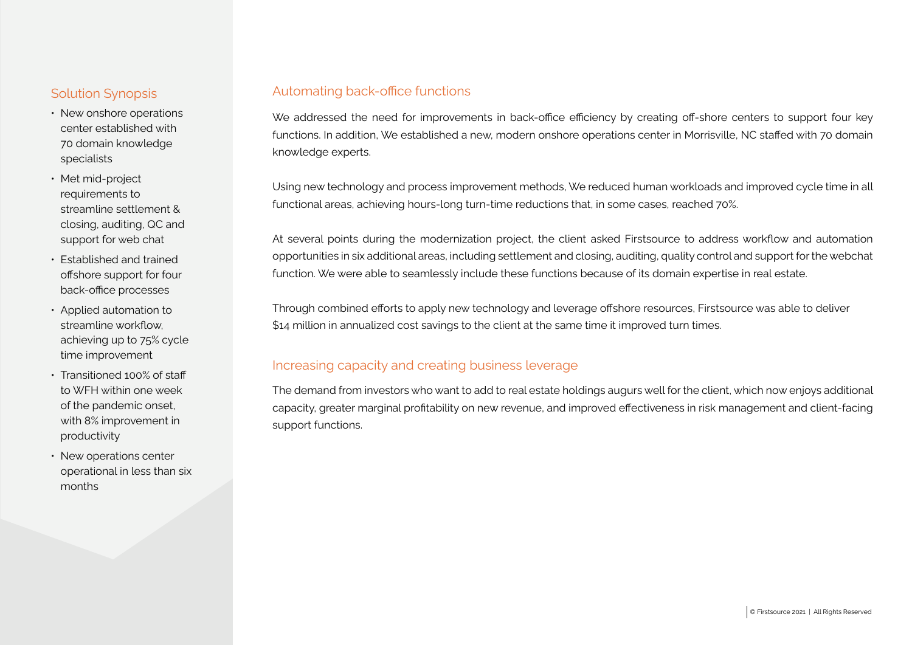#### Solution Synopsis

- New onshore operations center established with 70 domain knowledge specialists
- Met mid-project requirements to streamline settlement & closing, auditing, QC and support for web chat
- Established and trained offshore support for four back-office processes
- Applied automation to streamline workflow, achieving up to 75% cycle time improvement
- Transitioned 100% of staff to WFH within one week of the pandemic onset, with 8% improvement in productivity
- New operations center operational in less than six months

#### Automating back-office functions

We addressed the need for improvements in back-office efficiency by creating off-shore centers to support four key functions. In addition, We established a new, modern onshore operations center in Morrisville, NC staffed with 70 domain knowledge experts.

Using new technology and process improvement methods, We reduced human workloads and improved cycle time in all functional areas, achieving hours-long turn-time reductions that, in some cases, reached 70%.

At several points during the modernization project, the client asked Firstsource to address workflow and automation opportunities in six additional areas, including settlement and closing, auditing, quality control and support for the webchat function. We were able to seamlessly include these functions because of its domain expertise in real estate.

Through combined efforts to apply new technology and leverage offshore resources, Firstsource was able to deliver \$14 million in annualized cost savings to the client at the same time it improved turn times.

#### Increasing capacity and creating business leverage

The demand from investors who want to add to real estate holdings augurs well for the client, which now enjoys additional capacity, greater marginal profitability on new revenue, and improved effectiveness in risk management and client-facing support functions.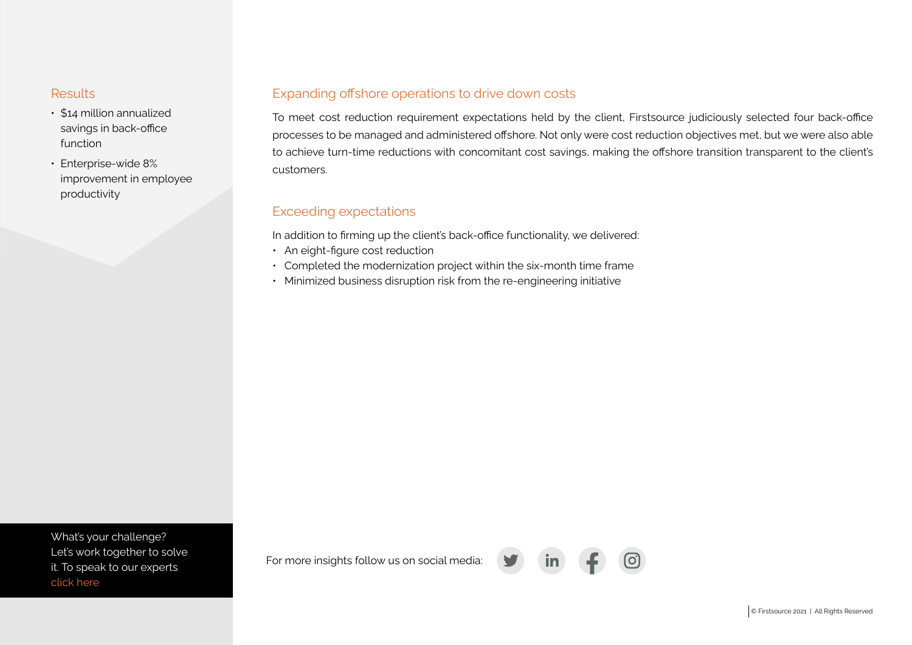- \$14 million annualized savings in back-office function
- Enterprise-wide 8% improvement in employee productivity

#### Results **Expanding offshore operations to drive down costs**

To meet cost reduction requirement expectations held by the client, Firstsource judiciously selected four back-office processes to be managed and administered offshore. Not only were cost reduction objectives met, but we were also able to achieve turn-time reductions with concomitant cost savings, making the offshore transition transparent to the client's customers.

## Exceeding expectations

In addition to firming up the client's back-office functionality, we delivered:

- An eight-figure cost reduction
- Completed the modernization project within the six-month time frame
- Minimized business disruption risk from the re-engineering initiative

What's your challenge? [Let's work together to solve](https://www.firstsource.com/contact/)  it. To speak to our experts click here

For more insights follow us on social media: